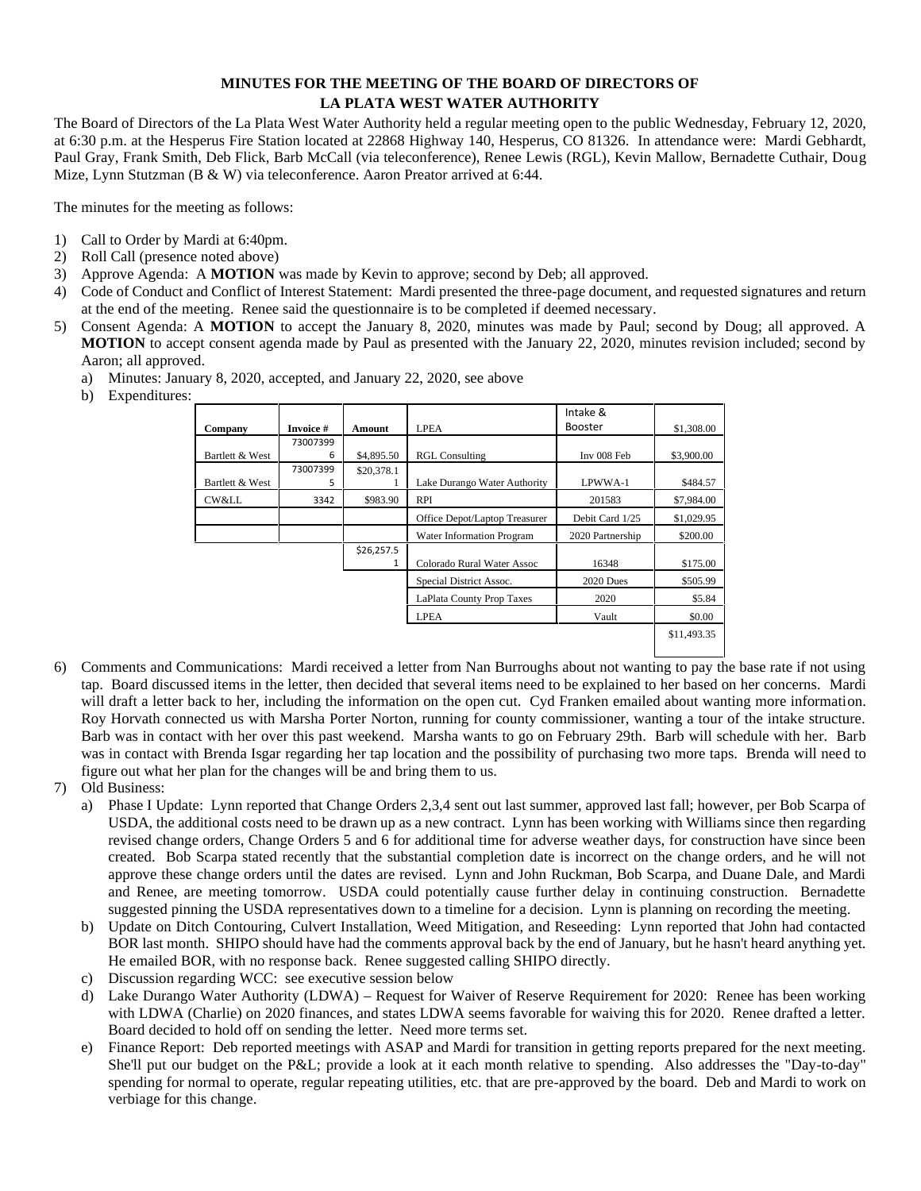## **MINUTES FOR THE MEETING OF THE BOARD OF DIRECTORS OF LA PLATA WEST WATER AUTHORITY**

The Board of Directors of the La Plata West Water Authority held a regular meeting open to the public Wednesday, February 12, 2020, at 6:30 p.m. at the Hesperus Fire Station located at 22868 Highway 140, Hesperus, CO 81326. In attendance were: Mardi Gebhardt, Paul Gray, Frank Smith, Deb Flick, Barb McCall (via teleconference), Renee Lewis (RGL), Kevin Mallow, Bernadette Cuthair, Doug Mize, Lynn Stutzman (B & W) via teleconference. Aaron Preator arrived at 6:44.

The minutes for the meeting as follows:

- 1) Call to Order by Mardi at 6:40pm.
- 2) Roll Call (presence noted above)
- 3) Approve Agenda: A **MOTION** was made by Kevin to approve; second by Deb; all approved.
- 4) Code of Conduct and Conflict of Interest Statement: Mardi presented the three-page document, and requested signatures and return at the end of the meeting. Renee said the questionnaire is to be completed if deemed necessary.
- 5) Consent Agenda: A **MOTION** to accept the January 8, 2020, minutes was made by Paul; second by Doug; all approved. A **MOTION** to accept consent agenda made by Paul as presented with the January 22, 2020, minutes revision included; second by Aaron; all approved.
	- a) Minutes: January 8, 2020, accepted, and January 22, 2020, see above

b) Expenditures:

|                 | Invoice #     | <b>Amount</b> |                               | Intake &<br><b>Booster</b> |             |
|-----------------|---------------|---------------|-------------------------------|----------------------------|-------------|
| Company         |               |               | <b>LPEA</b>                   |                            | \$1,308.00  |
| Bartlett & West | 73007399<br>6 | \$4,895.50    | <b>RGL Consulting</b>         | Inv 008 Feb                | \$3,900.00  |
|                 | 73007399      | \$20,378.1    |                               |                            |             |
| Bartlett & West | 5             |               | Lake Durango Water Authority  | LPWWA-1                    | \$484.57    |
| CW&LL           | 3342          | \$983.90      | <b>RPI</b>                    | 201583                     | \$7,984.00  |
|                 |               |               | Office Depot/Laptop Treasurer | Debit Card 1/25            | \$1,029.95  |
|                 |               |               | Water Information Program     | 2020 Partnership           | \$200.00    |
|                 |               | \$26,257.5    | Colorado Rural Water Assoc    | 16348                      | \$175.00    |
|                 |               |               | Special District Assoc.       | $2020$ Dues                | \$505.99    |
|                 |               |               | LaPlata County Prop Taxes     | 2020                       | \$5.84      |
|                 |               |               | <b>LPEA</b>                   | Vault                      | \$0.00      |
|                 |               |               |                               |                            | \$11,493.35 |

6) Comments and Communications: Mardi received a letter from Nan Burroughs about not wanting to pay the base rate if not using tap. Board discussed items in the letter, then decided that several items need to be explained to her based on her concerns. Mardi will draft a letter back to her, including the information on the open cut. Cyd Franken emailed about wanting more information. Roy Horvath connected us with Marsha Porter Norton, running for county commissioner, wanting a tour of the intake structure. Barb was in contact with her over this past weekend. Marsha wants to go on February 29th. Barb will schedule with her. Barb was in contact with Brenda Isgar regarding her tap location and the possibility of purchasing two more taps. Brenda will need to figure out what her plan for the changes will be and bring them to us.

7) Old Business:

- a) Phase I Update: Lynn reported that Change Orders 2,3,4 sent out last summer, approved last fall; however, per Bob Scarpa of USDA, the additional costs need to be drawn up as a new contract. Lynn has been working with Williams since then regarding revised change orders, Change Orders 5 and 6 for additional time for adverse weather days, for construction have since been created. Bob Scarpa stated recently that the substantial completion date is incorrect on the change orders, and he will not approve these change orders until the dates are revised. Lynn and John Ruckman, Bob Scarpa, and Duane Dale, and Mardi and Renee, are meeting tomorrow. USDA could potentially cause further delay in continuing construction. Bernadette suggested pinning the USDA representatives down to a timeline for a decision. Lynn is planning on recording the meeting.
- b) Update on Ditch Contouring, Culvert Installation, Weed Mitigation, and Reseeding: Lynn reported that John had contacted BOR last month. SHIPO should have had the comments approval back by the end of January, but he hasn't heard anything yet. He emailed BOR, with no response back. Renee suggested calling SHIPO directly.
- c) Discussion regarding WCC: see executive session below
- d) Lake Durango Water Authority (LDWA) Request for Waiver of Reserve Requirement for 2020: Renee has been working with LDWA (Charlie) on 2020 finances, and states LDWA seems favorable for waiving this for 2020. Renee drafted a letter. Board decided to hold off on sending the letter. Need more terms set.
- e) Finance Report: Deb reported meetings with ASAP and Mardi for transition in getting reports prepared for the next meeting. She'll put our budget on the P&L; provide a look at it each month relative to spending. Also addresses the "Day-to-day" spending for normal to operate, regular repeating utilities, etc. that are pre-approved by the board. Deb and Mardi to work on verbiage for this change.